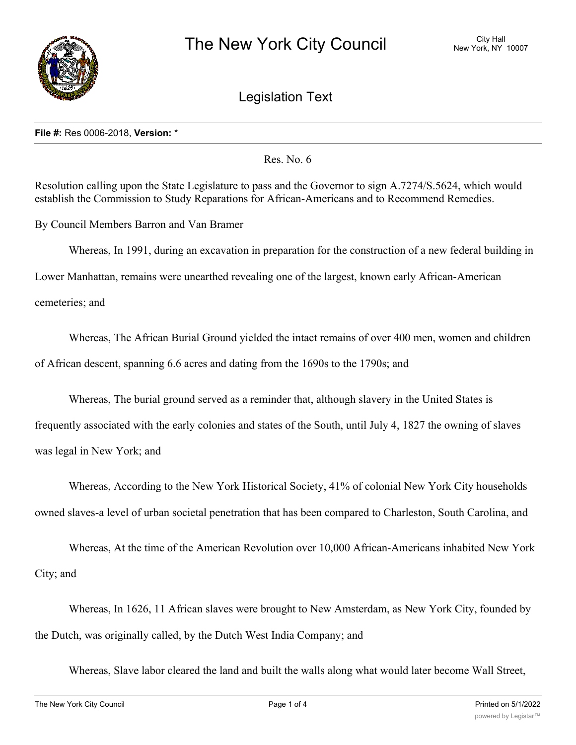

Legislation Text

## **File #:** Res 0006-2018, **Version:** \*

Res. No. 6

Resolution calling upon the State Legislature to pass and the Governor to sign A.7274/S.5624, which would establish the Commission to Study Reparations for African-Americans and to Recommend Remedies.

By Council Members Barron and Van Bramer

Whereas, In 1991, during an excavation in preparation for the construction of a new federal building in

Lower Manhattan, remains were unearthed revealing one of the largest, known early African-American

cemeteries; and

Whereas, The African Burial Ground yielded the intact remains of over 400 men, women and children of African descent, spanning 6.6 acres and dating from the 1690s to the 1790s; and

Whereas, The burial ground served as a reminder that, although slavery in the United States is

frequently associated with the early colonies and states of the South, until July 4, 1827 the owning of slaves was legal in New York; and

Whereas, According to the New York Historical Society, 41% of colonial New York City households owned slaves-a level of urban societal penetration that has been compared to Charleston, South Carolina, and

Whereas, At the time of the American Revolution over 10,000 African-Americans inhabited New York City; and

Whereas, In 1626, 11 African slaves were brought to New Amsterdam, as New York City, founded by the Dutch, was originally called, by the Dutch West India Company; and

Whereas, Slave labor cleared the land and built the walls along what would later become Wall Street,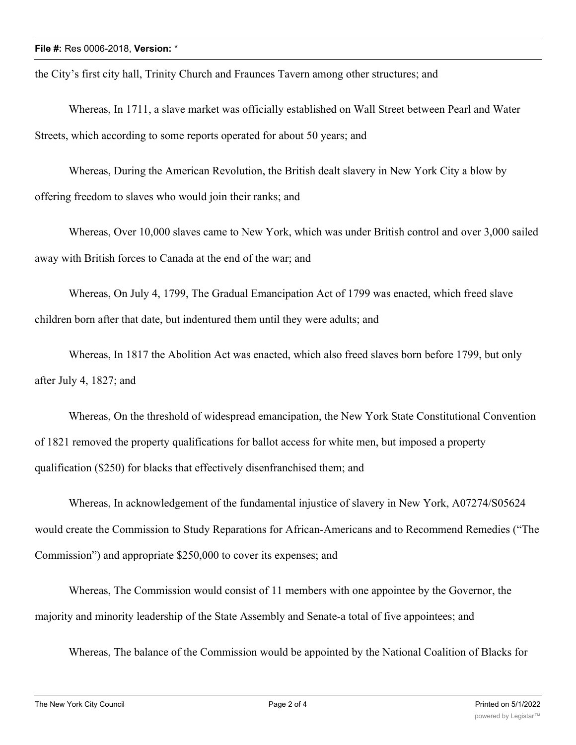the City's first city hall, Trinity Church and Fraunces Tavern among other structures; and

Whereas, In 1711, a slave market was officially established on Wall Street between Pearl and Water Streets, which according to some reports operated for about 50 years; and

Whereas, During the American Revolution, the British dealt slavery in New York City a blow by offering freedom to slaves who would join their ranks; and

Whereas, Over 10,000 slaves came to New York, which was under British control and over 3,000 sailed away with British forces to Canada at the end of the war; and

Whereas, On July 4, 1799, The Gradual Emancipation Act of 1799 was enacted, which freed slave children born after that date, but indentured them until they were adults; and

Whereas, In 1817 the Abolition Act was enacted, which also freed slaves born before 1799, but only after July 4, 1827; and

Whereas, On the threshold of widespread emancipation, the New York State Constitutional Convention of 1821 removed the property qualifications for ballot access for white men, but imposed a property qualification (\$250) for blacks that effectively disenfranchised them; and

Whereas, In acknowledgement of the fundamental injustice of slavery in New York, A07274/S05624 would create the Commission to Study Reparations for African-Americans and to Recommend Remedies ("The Commission") and appropriate \$250,000 to cover its expenses; and

Whereas, The Commission would consist of 11 members with one appointee by the Governor, the majority and minority leadership of the State Assembly and Senate-a total of five appointees; and

Whereas, The balance of the Commission would be appointed by the National Coalition of Blacks for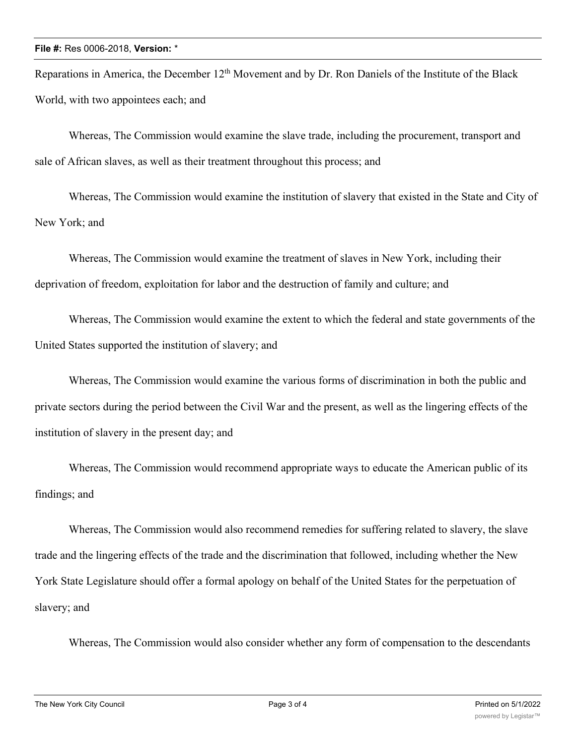Reparations in America, the December  $12<sup>th</sup>$  Movement and by Dr. Ron Daniels of the Institute of the Black World, with two appointees each; and

Whereas, The Commission would examine the slave trade, including the procurement, transport and sale of African slaves, as well as their treatment throughout this process; and

Whereas, The Commission would examine the institution of slavery that existed in the State and City of New York; and

Whereas, The Commission would examine the treatment of slaves in New York, including their deprivation of freedom, exploitation for labor and the destruction of family and culture; and

Whereas, The Commission would examine the extent to which the federal and state governments of the United States supported the institution of slavery; and

Whereas, The Commission would examine the various forms of discrimination in both the public and private sectors during the period between the Civil War and the present, as well as the lingering effects of the institution of slavery in the present day; and

Whereas, The Commission would recommend appropriate ways to educate the American public of its findings; and

Whereas, The Commission would also recommend remedies for suffering related to slavery, the slave trade and the lingering effects of the trade and the discrimination that followed, including whether the New York State Legislature should offer a formal apology on behalf of the United States for the perpetuation of slavery; and

Whereas, The Commission would also consider whether any form of compensation to the descendants